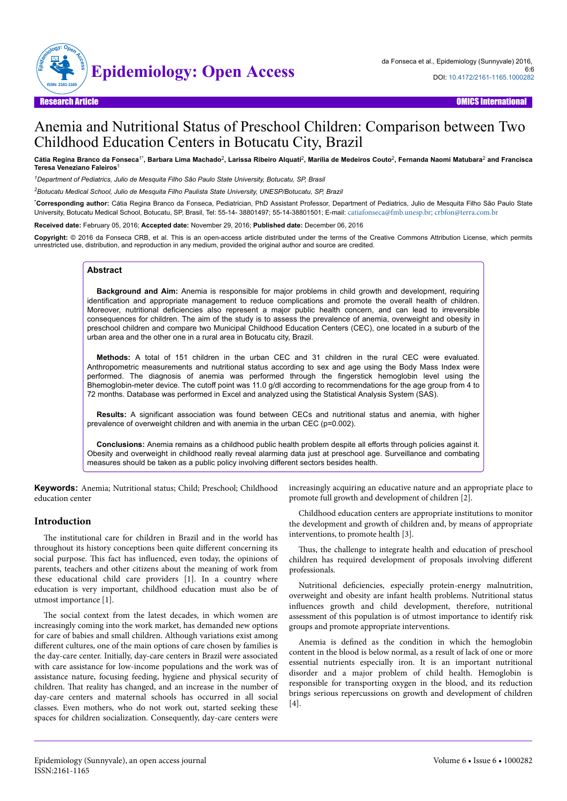

# Anemia and Nutritional Status of Preschool Children: Comparison between Two Childhood Education Centers in Botucatu City, Brazil

Cátia Regina Branco da Fonseca<sup>1÷</sup>, Barbara Lima Machado<sup>2</sup>, Larissa Ribeiro Alquati<sup>2</sup>, Marília de Medeiros Couto<sup>2</sup>, Fernanda Naomi Matubara<sup>2</sup> and Francisca **Teresa Veneziano Faleiros**<sup>1</sup>

*<sup>1</sup>Department of Pediatrics, Julio de Mesquita Filho São Paulo State University, Botucatu, SP, Brasil*

*<sup>2</sup>Botucatu Medical School, Julio de Mesquita Filho Paulista State University, UNESP/Botucatu, SP, Brazil*

\***Corresponding author:** Cátia Regina Branco da Fonseca, Pediatrician, PhD Assistant Professor, Department of Pediatrics, Julio de Mesquita Filho São Paulo State University, Botucatu Medical School, Botucatu, SP, Brasil, Tel: 55-14- 38801497; 55-14-38801501; E-mail: [catiafonseca@fmb.unesp.br](mailto:catiafonseca@fmb.unesp.br); [crbfon@terra.com.br](mailto:crbfon@terra.com.br)

**Received date:** February 05, 2016; **Accepted date:** November 29, 2016; **Published date:** December 06, 2016

**Copyright:** © 2016 da Fonseca CRB, et al. This is an open-access article distributed under the terms of the Creative Commons Attribution License, which permits unrestricted use, distribution, and reproduction in any medium, provided the original author and source are credited.

#### **Abstract**

**Background and Aim:** Anemia is responsible for major problems in child growth and development, requiring identification and appropriate management to reduce complications and promote the overall health of children. Moreover, nutritional deficiencies also represent a major public health concern, and can lead to irreversible consequences for children. The aim of the study is to assess the prevalence of anemia, overweight and obesity in preschool children and compare two Municipal Childhood Education Centers (CEC), one located in a suburb of the urban area and the other one in a rural area in Botucatu city, Brazil.

**Methods:** A total of 151 children in the urban CEC and 31 children in the rural CEC were evaluated. Anthropometric measurements and nutritional status according to sex and age using the Body Mass Index were performed. The diagnosis of anemia was performed through the fingerstick hemoglobin level using the Bhemoglobin-meter device. The cutoff point was 11.0 g/dl according to recommendations for the age group from 4 to 72 months. Database was performed in Excel and analyzed using the Statistical Analysis System (SAS).

**Results:** A significant association was found between CECs and nutritional status and anemia, with higher prevalence of overweight children and with anemia in the urban CEC (p=0.002).

**Conclusions:** Anemia remains as a childhood public health problem despite all efforts through policies against it. Obesity and overweight in childhood really reveal alarming data just at preschool age. Surveillance and combating measures should be taken as a public policy involving different sectors besides health.

**Keywords:** Anemia; Nutritional status; Child; Preschool; Childhood education center

#### **Introduction**

The institutional care for children in Brazil and in the world has throughout its history conceptions been quite different concerning its social purpose. This fact has influenced, even today, the opinions of parents, teachers and other citizens about the meaning of work from these educational child care providers [1]. In a country where education is very important, childhood education must also be of utmost importance [1].

The social context from the latest decades, in which women are increasingly coming into the work market, has demanded new options for care of babies and small children. Although variations exist among different cultures, one of the main options of care chosen by families is the day-care center. Initially, day-care centers in Brazil were associated with care assistance for low-income populations and the work was of assistance nature, focusing feeding, hygiene and physical security of children. Нat reality has changed, and an increase in the number of day-care centers and maternal schools has occurred in all social classes. Even mothers, who do not work out, started seeking these spaces for children socialization. Consequently, day-care centers were

increasingly acquiring an educative nature and an appropriate place to promote full growth and development of children [2].

Childhood education centers are appropriate institutions to monitor the development and growth of children and, by means of appropriate interventions, to promote health [3].

Thus, the challenge to integrate health and education of preschool children has required development of proposals involving different professionals.

Nutritional deficiencies, especially protein-energy malnutrition, overweight and obesity are infant health problems. Nutritional status influences growth and child development, therefore, nutritional assessment of this population is of utmost importance to identify risk groups and promote appropriate interventions.

Anemia is defined as the condition in which the hemoglobin content in the blood is below normal, as a result of lack of one or more essential nutrients especially iron. It is an important nutritional disorder and a major problem of child health. Hemoglobin is responsible for transporting oxygen in the blood, and its reduction brings serious repercussions on growth and development of children [4].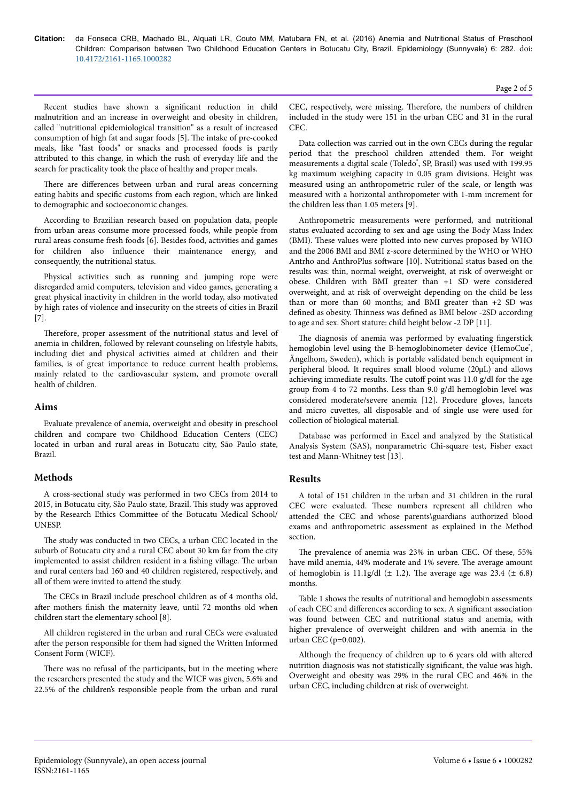Recent studies have shown a significant reduction in child malnutrition and an increase in overweight and obesity in children, called "nutritional epidemiological transition" as a result of increased consumption of high fat and sugar foods [5]. Нe intake of pre-cooked meals, like "fast foods" or snacks and processed foods is partly attributed to this change, in which the rush of everyday life and the search for practicality took the place of healthy and proper meals.

There are differences between urban and rural areas concerning eating habits and specific customs from each region, which are linked to demographic and socioeconomic changes.

According to Brazilian research based on population data, people from urban areas consume more processed foods, while people from rural areas consume fresh foods [6]. Besides food, activities and games for children also influence their maintenance energy, and consequently, the nutritional status.

Physical activities such as running and jumping rope were disregarded amid computers, television and video games, generating a great physical inactivity in children in the world today, also motivated by high rates of violence and insecurity on the streets of cities in Brazil [7].

Therefore, proper assessment of the nutritional status and level of anemia in children, followed by relevant counseling on lifestyle habits, including diet and physical activities aimed at children and their families, is of great importance to reduce current health problems, mainly related to the cardiovascular system, and promote overall health of children.

## **Aims**

Evaluate prevalence of anemia, overweight and obesity in preschool children and compare two Childhood Education Centers (CEC) located in urban and rural areas in Botucatu city, São Paulo state, Brazil.

# **Methods**

A cross-sectional study was performed in two CECs from 2014 to 2015, in Botucatu city, São Paulo state, Brazil. Нis study was approved by the Research Ethics Committee of the Botucatu Medical School/ UNESP.

The study was conducted in two CECs, a urban CEC located in the suburb of Botucatu city and a rural CEC about 30 km far from the city implemented to assist children resident in a fishing village. Нe urban and rural centers had 160 and 40 children registered, respectively, and all of them were invited to attend the study.

The CECs in Brazil include preschool children as of 4 months old, after mothers finish the maternity leave, until 72 months old when children start the elementary school [8].

All children registered in the urban and rural CECs were evaluated after the person responsible for them had signed the Written Informed Consent Form (WICF).

There was no refusal of the participants, but in the meeting where the researchers presented the study and the WICF was given, 5.6% and 22.5% of the children's responsible people from the urban and rural CEC, respectively, were missing. Therefore, the numbers of children included in the study were 151 in the urban CEC and 31 in the rural CEC.

Data collection was carried out in the own CECs during the regular period that the preschool children attended them. For weight measurements a digital scale (Toledo<sup>\*</sup>, SP, Brasil) was used with 199.95 kg maximum weighing capacity in 0.05 gram divisions. Height was measured using an anthropometric ruler of the scale, or length was measured with a horizontal anthropometer with 1-mm increment for the children less than 1.05 meters [9].

Anthropometric measurements were performed, and nutritional status evaluated according to sex and age using the Body Mass Index (BMI). Нese values were plotted into new curves proposed by WHO and the 2006 BMI and BMI z-score determined by the WHO or WHO Antrho and AnthroPlus software [10]. Nutritional status based on the results was: thin, normal weight, overweight, at risk of overweight or obese. Children with BMI greater than +1 SD were considered overweight, and at risk of overweight depending on the child be less than or more than 60 months; and BMI greater than +2 SD was defined as obesity. Нinness was defined as BMI below -2SD according to age and sex. Short stature: child height below -2 DP [11].

The diagnosis of anemia was performed by evaluating fingerstick hemoglobin level using the B-hemoglobinometer device (HemoCue<sup>®</sup>, Ängelhom, Sweden), which is portable validated bench equipment in peripheral blood. It requires small blood volume (20μL) and allows achieving immediate results. The cutoff point was  $11.0$  g/dl for the age group from 4 to 72 months. Less than 9.0 g/dl hemoglobin level was considered moderate/severe anemia [12]. Procedure gloves, lancets and micro cuvettes, all disposable and of single use were used for collection of biological material.

Database was performed in Excel and analyzed by the Statistical Analysis System (SAS), nonparametric Chi-square test, Fisher exact test and Mann-Whitney test [13].

# **Results**

A total of 151 children in the urban and 31 children in the rural CEC were evaluated. Нese numbers represent all children who attended the CEC and whose parents\guardians authorized blood exams and anthropometric assessment as explained in the Method section.

The prevalence of anemia was 23% in urban CEC. Of these, 55% have mild anemia, 44% moderate and 1% severe. The average amount of hemoglobin is 11.1g/dl  $(\pm 1.2)$ . The average age was 23.4  $(\pm 6.8)$ months.

Table 1 shows the results of nutritional and hemoglobin assessments of each CEC and differences according to sex. A significant association was found between CEC and nutritional status and anemia, with higher prevalence of overweight children and with anemia in the urban CEC (p=0.002).

Although the frequency of children up to 6 years old with altered nutrition diagnosis was not statistically significant, the value was high. Overweight and obesity was 29% in the rural CEC and 46% in the urban CEC, including children at risk of overweight.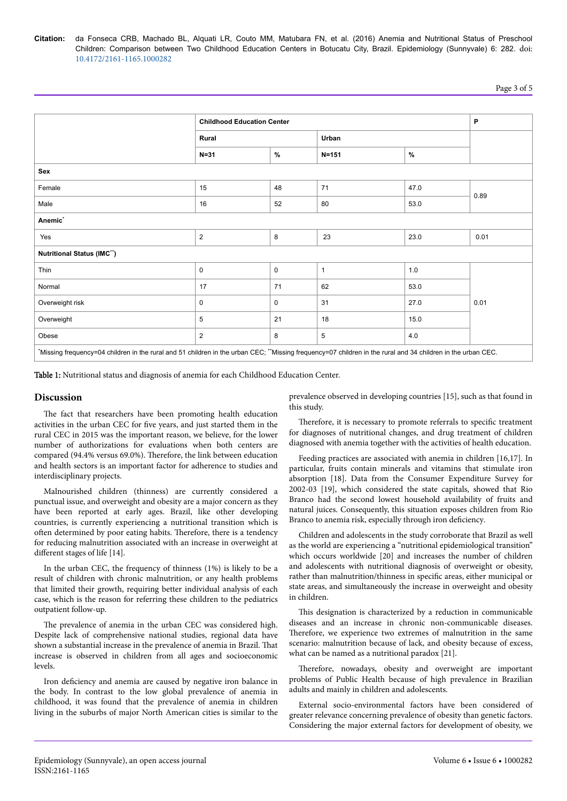|                                                                                                                                                              | <b>Childhood Education Center</b> |               |              |      | P    |
|--------------------------------------------------------------------------------------------------------------------------------------------------------------|-----------------------------------|---------------|--------------|------|------|
|                                                                                                                                                              | Rural                             |               | Urban        |      |      |
|                                                                                                                                                              | $N = 31$                          | $\frac{9}{6}$ | $N = 151$    | $\%$ |      |
| Sex                                                                                                                                                          |                                   |               |              |      |      |
| Female                                                                                                                                                       | 15                                | 48            | 71           | 47.0 | 0.89 |
| Male                                                                                                                                                         | 16                                | 52            | 80           | 53.0 |      |
| Anemic <sup>*</sup>                                                                                                                                          |                                   |               |              |      |      |
| Yes                                                                                                                                                          | $\overline{2}$                    | 8             | 23           | 23.0 | 0.01 |
| Nutritional Status (IMC")                                                                                                                                    |                                   |               |              |      |      |
| Thin                                                                                                                                                         | 0                                 | $\mathsf 0$   | $\mathbf{1}$ | 1.0  | 0.01 |
| Normal                                                                                                                                                       | 17                                | 71            | 62           | 53.0 |      |
| Overweight risk                                                                                                                                              | 0                                 | 0             | 31           | 27.0 |      |
| Overweight                                                                                                                                                   | 5                                 | 21            | 18           | 15.0 |      |
| Obese                                                                                                                                                        | $\overline{2}$                    | 8             | 5            | 4.0  |      |
| *Missing frequency=04 children in the rural and 51 children in the urban CEC; **Missing frequency=07 children in the rural and 34 children in the urban CEC. |                                   |               |              |      |      |

Table 1: Nutritional status and diagnosis of anemia for each Childhood Education Center.

#### **Discussion**

The fact that researchers have been promoting health education activities in the urban CEC for five years, and just started them in the rural CEC in 2015 was the important reason, we believe, for the lower number of authorizations for evaluations when both centers are compared (94.4% versus 69.0%). Therefore, the link between education and health sectors is an important factor for adherence to studies and interdisciplinary projects.

Malnourished children (thinness) are currently considered a punctual issue, and overweight and obesity are a major concern as they have been reported at early ages. Brazil, like other developing countries, is currently experiencing a nutritional transition which is often determined by poor eating habits. Therefore, there is a tendency for reducing malnutrition associated with an increase in overweight at different stages of life [14].

In the urban CEC, the frequency of thinness (1%) is likely to be a result of children with chronic malnutrition, or any health problems that limited their growth, requiring better individual analysis of each case, which is the reason for referring these children to the pediatrics outpatient follow-up.

The prevalence of anemia in the urban CEC was considered high. Despite lack of comprehensive national studies, regional data have shown a substantial increase in the prevalence of anemia in Brazil. Нat increase is observed in children from all ages and socioeconomic levels.

Iron deficiency and anemia are caused by negative iron balance in the body. In contrast to the low global prevalence of anemia in childhood, it was found that the prevalence of anemia in children living in the suburbs of major North American cities is similar to the prevalence observed in developing countries [15], such as that found in this study.

Therefore, it is necessary to promote referrals to specific treatment for diagnoses of nutritional changes, and drug treatment of children diagnosed with anemia together with the activities of health education.

Feeding practices are associated with anemia in children [16,17]. In particular, fruits contain minerals and vitamins that stimulate iron absorption [18]. Data from the Consumer Expenditure Survey for 2002-03 [19], which considered the state capitals, showed that Rio Branco had the second lowest household availability of fruits and natural juices. Consequently, this situation exposes children from Rio Branco to anemia risk, especially through iron deficiency.

Children and adolescents in the study corroborate that Brazil as well as the world are experiencing a "nutritional epidemiological transition" which occurs worldwide [20] and increases the number of children and adolescents with nutritional diagnosis of overweight or obesity, rather than malnutrition/thinness in specific areas, either municipal or state areas, and simultaneously the increase in overweight and obesity in children.

This designation is characterized by a reduction in communicable diseases and an increase in chronic non-communicable diseases. Therefore, we experience two extremes of malnutrition in the same scenario: malnutrition because of lack, and obesity because of excess, what can be named as a nutritional paradox [21].

Therefore, nowadays, obesity and overweight are important problems of Public Health because of high prevalence in Brazilian adults and mainly in children and adolescents.

External socio-environmental factors have been considered of greater relevance concerning prevalence of obesity than genetic factors. Considering the major external factors for development of obesity, we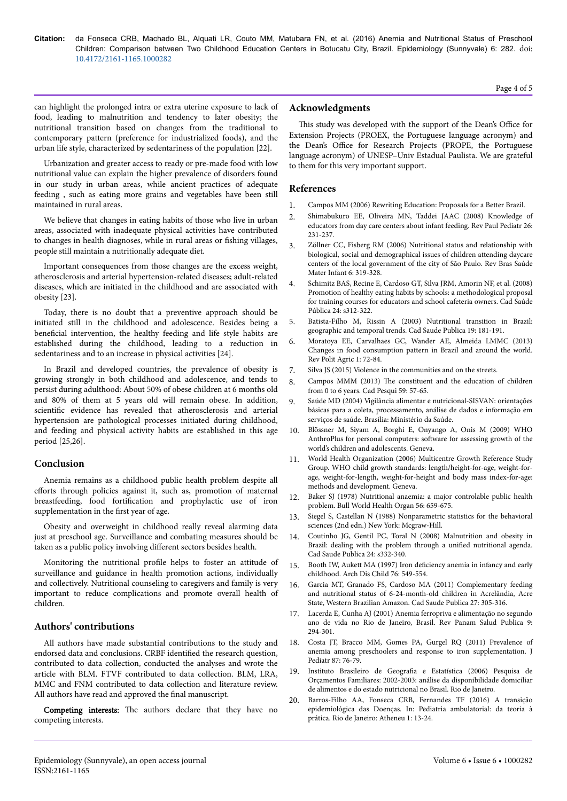can highlight the prolonged intra or extra uterine exposure to lack of food, leading to malnutrition and tendency to later obesity; the nutritional transition based on changes from the traditional to contemporary pattern (preference for industrialized foods), and the urban life style, characterized by sedentariness of the population [22].

Urbanization and greater access to ready or pre-made food with low nutritional value can explain the higher prevalence of disorders found in our study in urban areas, while ancient practices of adequate feeding , such as eating more grains and vegetables have been still maintained in rural areas.

We believe that changes in eating habits of those who live in urban areas, associated with inadequate physical activities have contributed to changes in health diagnoses, while in rural areas or fishing villages, people still maintain a nutritionally adequate diet.

Important consequences from those changes are the excess weight, atherosclerosis and arterial hypertension-related diseases; adult-related diseases, which are initiated in the childhood and are associated with obesity [23].

Today, there is no doubt that a preventive approach should be initiated still in the childhood and adolescence. Besides being a beneficial intervention, the healthy feeding and life style habits are established during the childhood, leading to a reduction in sedentariness and to an increase in physical activities [24].

In Brazil and developed countries, the prevalence of obesity is growing strongly in both childhood and adolescence, and tends to persist during adulthood: About 50% of obese children at 6 months old and 80% of them at 5 years old will remain obese. In addition, scientific evidence has revealed that atherosclerosis and arterial hypertension are pathological processes initiated during childhood, and feeding and physical activity habits are established in this age period [25,26].

## **Conclusion**

Anemia remains as a childhood public health problem despite all efforts through policies against it, such as, promotion of maternal breastfeeding, food fortification and prophylactic use of iron supplementation in the first year of age.

Obesity and overweight in childhood really reveal alarming data just at preschool age. Surveillance and combating measures should be taken as a public policy involving different sectors besides health.

Monitoring the nutritional profile helps to foster an attitude of surveillance and guidance in health promotion actions, individually and collectively. Nutritional counseling to caregivers and family is very important to reduce complications and promote overall health of children.

## **Authors' contributions**

All authors have made substantial contributions to the study and endorsed data and conclusions. CRBF identified the research question, contributed to data collection, conducted the analyses and wrote the article with BLM. FTVF contributed to data collection. BLM, LRA, MMC and FNM contributed to data collection and literature review. All authors have read and approved the final manuscript.

Competing interests: The authors declare that they have no competing interests.

#### **Acknowledgments**

This study was developed with the support of the Dean's Office for Extension Projects (PROEX, the Portuguese language acronym) and the Dean's Office for Research Projects (PROPE, the Portuguese language acronym) of UNESP–Univ Estadual Paulista. We are grateful to them for this very important support.

#### **References**

- 1. Campos MM (2006) Rewriting Education: Proposals for a Better Brazil.
- 2. [Shimabukuro EE, Oliveira MN, Taddei JAAC \(2008\) Knowledge of](http://dx.doi.org/10.1590/S0103-05822008000300006) [educators from day care centers about infant feeding. Rev Paul Pediatr 26:](http://dx.doi.org/10.1590/S0103-05822008000300006) [231-237.](http://dx.doi.org/10.1590/S0103-05822008000300006)
- 3. [Zöllner CC, Fisberg RM \(2006\) Nutritional status and relationship with](http://dx.doi.org/10.1590/S1519-38292006000300008) [biological, social and demographical issues of children attending daycare](http://dx.doi.org/10.1590/S1519-38292006000300008) [centers of the local government of the city of São Paulo. Rev Bras Saúde](http://dx.doi.org/10.1590/S1519-38292006000300008) [Mater Infant 6: 319-328.](http://dx.doi.org/10.1590/S1519-38292006000300008)
- 4. [Schimitz BAS, Recine E, Cardoso GT, Silva JRM, Amorin NF, et al. \(2008\)](http://dx.doi.org/10.1590/S0102-311X2008001400016) [Promotion of healthy eating habits by schools: a methodological proposal](http://dx.doi.org/10.1590/S0102-311X2008001400016) [for training courses for educators and school cafeteria owners. Cad Saúde](http://dx.doi.org/10.1590/S0102-311X2008001400016) [Pública 24: s312-322.](http://dx.doi.org/10.1590/S0102-311X2008001400016)
- 5. [Batista-Filho M, Rissin A \(2003\) Nutritional transition in Brazil:](http://dx.doi.org/10.1590/S0102-311X2003000700019) [geographic and temporal trends. Cad Saude Publica 19: 181-191.](http://dx.doi.org/10.1590/S0102-311X2003000700019)
- 6. Moratoya EE, Carvalhaes GC, Wander AE, Almeida LMMC (2013) Changes in food consumption pattern in Brazil and around the world. Rev Polit Agric 1: 72-84.
- 7. Silva JS (2015) Violence in the communities and on the streets.
- 8. Campos MMM (2013) Нe constituent and the education of children from 0 to 6 years. Cad Pesqui 59: 57-65.
- 9. [Saúde MD \(2004\) Vigilância alimentar e nutricional-SISVAN: orientações](http://189.28.128.100/nutricao/docs/geral/orientacoes_basicas_sisvan.pdf) [básicas para a coleta, processamento, análise de dados e informação em](http://189.28.128.100/nutricao/docs/geral/orientacoes_basicas_sisvan.pdf) [serviços de saúde. Brasília: Ministério da Saúde.](http://189.28.128.100/nutricao/docs/geral/orientacoes_basicas_sisvan.pdf)
- 10. [Blössner M, Siyam A, Borghi E, Onyango A, Onis M \(2009\) WHO](http://www.who.int/growthref/tools/who_anthroplus_manual.pdf) [AnthroPlus for personal computers:](http://www.who.int/growthref/tools/who_anthroplus_manual.pdf) software for assessing growth of the [world's children and adolescents. Geneva.](http://www.who.int/growthref/tools/who_anthroplus_manual.pdf)
- 11. World Health Organization (2006) Multicentre Growth Reference Study Group. WHO child growth standards: length/height‐for‐age, weight‐for‐ age, weight‐for‐length, weight‐for‐height and body mass index‐for‐age: methods and development. Geneva.
- 12. [Baker SJ \(1978\) Nutritional anaemia: a major controlable public health](https://www.ncbi.nlm.nih.gov/pmc/articles/PMC2395670/pdf/bullwho00442-0002.pdf) [problem. Bull World Health Organ 56: 659-675.](https://www.ncbi.nlm.nih.gov/pmc/articles/PMC2395670/pdf/bullwho00442-0002.pdf)
- 13. Siegel S, Castellan N (1988) Nonparametric statistics for the behavioral sciences (2nd edn.) New York: Mcgraw-Hill.
- 14. [Coutinho JG, Gentil PC, Toral N \(2008\) Malnutrition and obesity in](http://dx.doi.org/10.1590/S0102-311X2008001400018) [Brazil: dealing with the problem through a](http://dx.doi.org/10.1590/S0102-311X2008001400018) unified nutritional agenda. [Cad Saude Publica 24: s332-340.](http://dx.doi.org/10.1590/S0102-311X2008001400018)
- 15. [Booth IW, Aukett MA \(1997\) Iron](http://dx.doi.org/10.1136/adc.76.6.549) deficiency anemia in infancy and early [childhood. Arch Dis Child 76: 549-554.](http://dx.doi.org/10.1136/adc.76.6.549)
- 16. [Garcia MT, Granado FS, Cardoso MA \(2011\) Complementary feeding](http://dx.doi.org/10.1590/S0102-311X2011000200012) [and nutritional status of 6-24-month-old children in Acrelândia, Acre](http://dx.doi.org/10.1590/S0102-311X2011000200012) [State, Western Brazilian Amazon. Cad Saude Publica 27: 305-316.](http://dx.doi.org/10.1590/S0102-311X2011000200012)
- 17. [Lacerda E, Cunha AJ \(2001\) Anemia ferropriva e alimentação no segundo](http://www.scielosp.org/pdf/rpsp/v9n5/5121.pdf) [ano de vida no Rio de Janeiro, Brasil. Rev Panam Salud Publica 9:](http://www.scielosp.org/pdf/rpsp/v9n5/5121.pdf) [294-301.](http://www.scielosp.org/pdf/rpsp/v9n5/5121.pdf)
- 18. [Costa JT, Bracco MM, Gomes PA, Gurgel RQ \(2011\) Prevalence of](https://dx.doi.org/doi:10.2223/JPED.2049) [anemia among preschoolers and response to iron supplementation. J](https://dx.doi.org/doi:10.2223/JPED.2049) [Pediatr 87: 76-79.](https://dx.doi.org/doi:10.2223/JPED.2049)
- 19. Instituto Brasileiro de Geografia e Estatística (2006) Pesquisa de Orçamentos Familiares: 2002-2003: análise da disponibilidade domiciliar de alimentos e do estado nutricional no Brasil. Rio de Janeiro.
- 20. Barros-Filho AA, Fonseca CRB, Fernandes TF (2016) A transição epidemiológica das Doenças. In: Pediatria ambulatorial: da teoria à prática. Rio de Janeiro: Atheneu 1: 13-24.